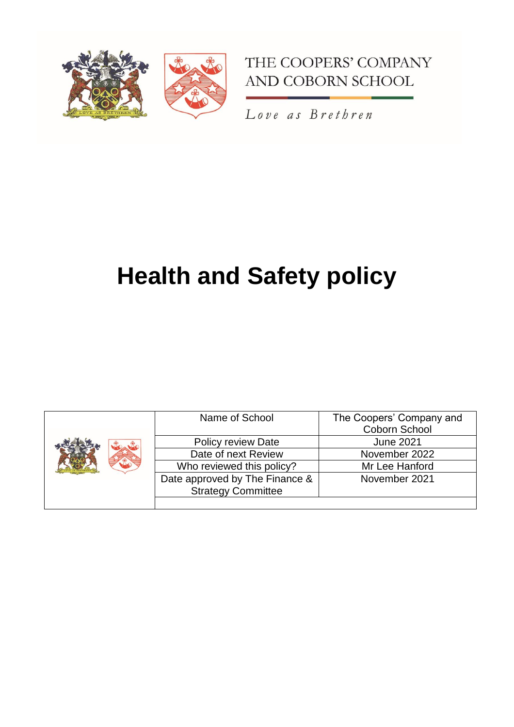



Love as Brethren

# **Health and Safety policy**

|  | Name of School                                              | The Coopers' Company and<br>Coborn School |
|--|-------------------------------------------------------------|-------------------------------------------|
|  | <b>Policy review Date</b>                                   | <b>June 2021</b>                          |
|  | Date of next Review                                         | November 2022                             |
|  | Who reviewed this policy?                                   | Mr Lee Hanford                            |
|  | Date approved by The Finance &<br><b>Strategy Committee</b> | November 2021                             |
|  |                                                             |                                           |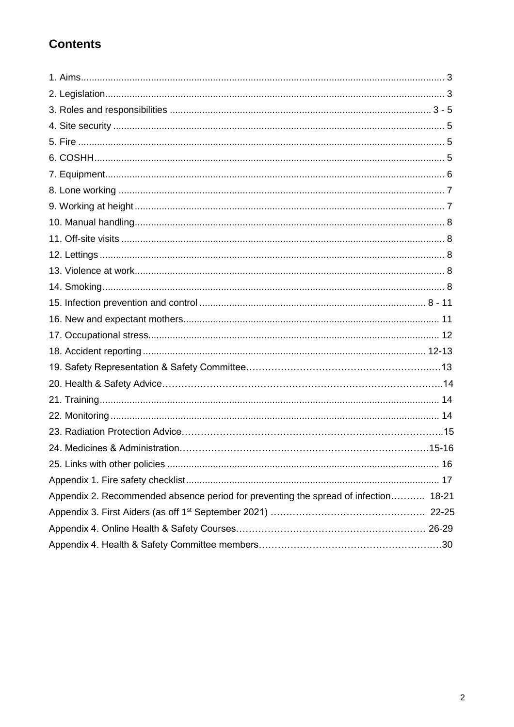## **Contents**

| Appendix 2. Recommended absence period for preventing the spread of infection 18-21 |
|-------------------------------------------------------------------------------------|
|                                                                                     |
|                                                                                     |
|                                                                                     |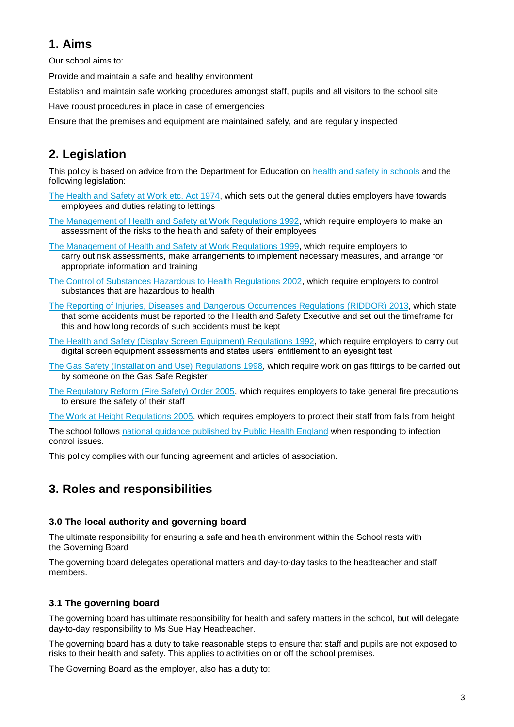## **1. Aims**

Our school aims to:

Provide and maintain a safe and healthy environment

Establish and maintain safe working procedures amongst staff, pupils and all visitors to the school site

Have robust procedures in place in case of emergencies

Ensure that the premises and equipment are maintained safely, and are regularly inspected

## **2. Legislation**

This policy is based on advice from the Department for Education on [health and safety in schools](https://www.gov.uk/government/publications/health-and-safety-advice-for-schools) and the following legislation:

- [The Health and Safety at Work etc. Act 1974,](http://www.legislation.gov.uk/ukpga/1974/37) which sets out the general duties employers have towards employees and duties relating to lettings
- [The Management of Health and Safety at Work Regulations 1992,](http://www.legislation.gov.uk/uksi/1992/2051/regulation/3/made) which require employers to make an assessment of the risks to the health and safety of their employees
- [The Management of Health and Safety at Work Regulations 1999,](http://www.legislation.gov.uk/uksi/1999/3242/contents/made) which require employers to carry out risk assessments, make arrangements to implement necessary measures, and arrange for appropriate information and training
- [The Control of Substances Hazardous to Health Regulations 2002,](http://www.legislation.gov.uk/uksi/2002/2677/contents/made) which require employers to control substances that are hazardous to health
- [The Reporting of Injuries, Diseases and Dangerous Occurrences Regulations](http://www.legislation.gov.uk/uksi/2013/1471/schedule/1/paragraph/1/made) (RIDDOR) 2013, which state that some accidents must be reported to the Health and Safety Executive and set out the timeframe for this and how long records of such accidents must be kept
- [The Health and Safety \(Display Screen Equipment\) Regulations 1992,](http://www.legislation.gov.uk/uksi/1992/2792/contents/made) which require employers to carry out digital screen equipment assessments and states users' entitlement to an eyesight test
- [The Gas Safety \(Installation and Use\) Regulations](http://www.legislation.gov.uk/uksi/1998/2451/regulation/4/made) 1998, which require work on gas fittings to be carried out by someone on the Gas Safe Register
- [The Regulatory Reform \(Fire Safety\) Order 2005,](http://www.legislation.gov.uk/uksi/2005/1541/part/2/made) which requires employers to take general fire precautions to ensure the safety of their staff

[The Work at Height Regulations 2005,](http://www.legislation.gov.uk/uksi/2005/735/contents/made) which requires employers to protect their staff from falls from height

The school follows [national guidance published by Public Health England](https://www.gov.uk/government/publications/health-protection-in-schools-and-other-childcare-facilities/chapter-9-managing-specific-infectious-diseases) when responding to infection control issues.

This policy complies with our funding agreement and articles of association.

## **3. Roles and responsibilities**

#### **3.0 The local authority and governing board**

The ultimate responsibility for ensuring a safe and health environment within the School rests with the Governing Board

The governing board delegates operational matters and day-to-day tasks to the headteacher and staff members.

#### **3.1 The governing board**

The governing board has ultimate responsibility for health and safety matters in the school, but will delegate day-to-day responsibility to Ms Sue Hay Headteacher.

The governing board has a duty to take reasonable steps to ensure that staff and pupils are not exposed to risks to their health and safety. This applies to activities on or off the school premises.

The Governing Board as the employer, also has a duty to: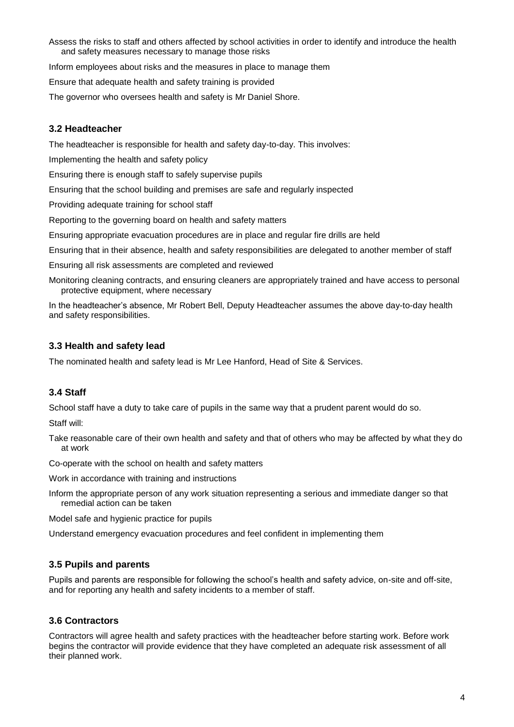Assess the risks to staff and others affected by school activities in order to identify and introduce the health and safety measures necessary to manage those risks

Inform employees about risks and the measures in place to manage them

Ensure that adequate health and safety training is provided

The governor who oversees health and safety is Mr Daniel Shore.

#### **3.2 Headteacher**

The headteacher is responsible for health and safety day-to-day. This involves:

Implementing the health and safety policy

Ensuring there is enough staff to safely supervise pupils

Ensuring that the school building and premises are safe and regularly inspected

Providing adequate training for school staff

Reporting to the governing board on health and safety matters

Ensuring appropriate evacuation procedures are in place and regular fire drills are held

Ensuring that in their absence, health and safety responsibilities are delegated to another member of staff

Ensuring all risk assessments are completed and reviewed

Monitoring cleaning contracts, and ensuring cleaners are appropriately trained and have access to personal protective equipment, where necessary

In the headteacher's absence, Mr Robert Bell, Deputy Headteacher assumes the above day-to-day health and safety responsibilities.

#### **3.3 Health and safety lead**

The nominated health and safety lead is Mr Lee Hanford, Head of Site & Services.

#### **3.4 Staff**

School staff have a duty to take care of pupils in the same way that a prudent parent would do so.

Staff will:

Take reasonable care of their own health and safety and that of others who may be affected by what they do at work

Co-operate with the school on health and safety matters

Work in accordance with training and instructions

Inform the appropriate person of any work situation representing a serious and immediate danger so that remedial action can be taken

Model safe and hygienic practice for pupils

Understand emergency evacuation procedures and feel confident in implementing them

#### **3.5 Pupils and parents**

Pupils and parents are responsible for following the school's health and safety advice, on-site and off-site, and for reporting any health and safety incidents to a member of staff.

#### **3.6 Contractors**

Contractors will agree health and safety practices with the headteacher before starting work. Before work begins the contractor will provide evidence that they have completed an adequate risk assessment of all their planned work.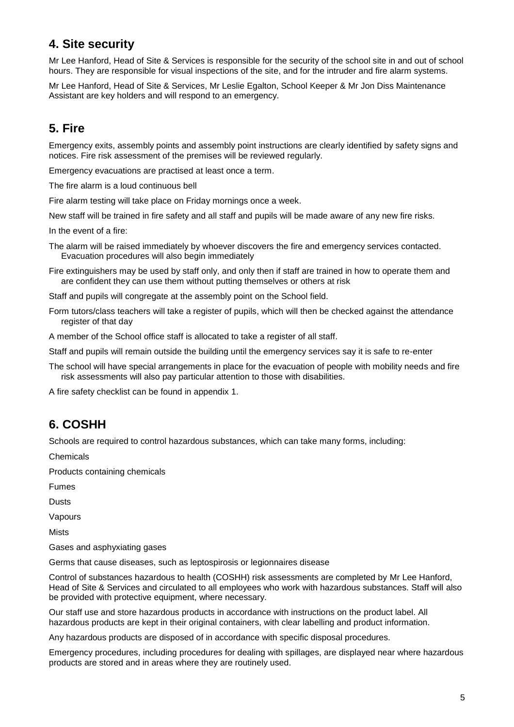## **4. Site security**

Mr Lee Hanford, Head of Site & Services is responsible for the security of the school site in and out of school hours. They are responsible for visual inspections of the site, and for the intruder and fire alarm systems.

Mr Lee Hanford, Head of Site & Services, Mr Leslie Egalton, School Keeper & Mr Jon Diss Maintenance Assistant are key holders and will respond to an emergency.

## **5. Fire**

Emergency exits, assembly points and assembly point instructions are clearly identified by safety signs and notices. Fire risk assessment of the premises will be reviewed regularly.

Emergency evacuations are practised at least once a term.

The fire alarm is a loud continuous bell

Fire alarm testing will take place on Friday mornings once a week.

New staff will be trained in fire safety and all staff and pupils will be made aware of any new fire risks.

In the event of a fire:

The alarm will be raised immediately by whoever discovers the fire and emergency services contacted. Evacuation procedures will also begin immediately

Fire extinguishers may be used by staff only, and only then if staff are trained in how to operate them and are confident they can use them without putting themselves or others at risk

Staff and pupils will congregate at the assembly point on the School field.

Form tutors/class teachers will take a register of pupils, which will then be checked against the attendance register of that day

A member of the School office staff is allocated to take a register of all staff.

Staff and pupils will remain outside the building until the emergency services say it is safe to re-enter

The school will have special arrangements in place for the evacuation of people with mobility needs and fire risk assessments will also pay particular attention to those with disabilities.

A fire safety checklist can be found in appendix 1.

## **6. COSHH**

Schools are required to control hazardous substances, which can take many forms, including:

Chemicals

Products containing chemicals

Fumes

**Dusts** 

Vapours

Mists

Gases and asphyxiating gases

Germs that cause diseases, such as leptospirosis or legionnaires disease

Control of substances hazardous to health (COSHH) risk assessments are completed by Mr Lee Hanford, Head of Site & Services and circulated to all employees who work with hazardous substances. Staff will also be provided with protective equipment, where necessary.

Our staff use and store hazardous products in accordance with instructions on the product label. All hazardous products are kept in their original containers, with clear labelling and product information.

Any hazardous products are disposed of in accordance with specific disposal procedures.

Emergency procedures, including procedures for dealing with spillages, are displayed near where hazardous products are stored and in areas where they are routinely used.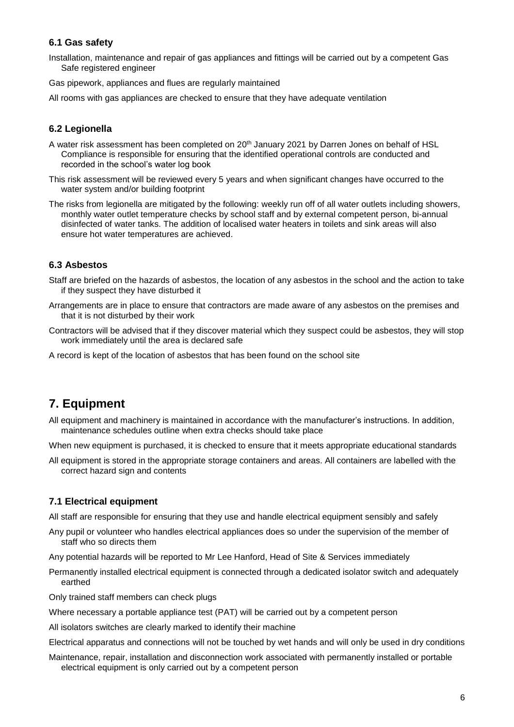#### **6.1 Gas safety**

Installation, maintenance and repair of gas appliances and fittings will be carried out by a competent Gas Safe registered engineer

Gas pipework, appliances and flues are regularly maintained

All rooms with gas appliances are checked to ensure that they have adequate ventilation

#### **6.2 Legionella**

- A water risk assessment has been completed on 20<sup>th</sup> January 2021 by Darren Jones on behalf of HSL Compliance is responsible for ensuring that the identified operational controls are conducted and recorded in the school's water log book
- This risk assessment will be reviewed every 5 years and when significant changes have occurred to the water system and/or building footprint
- The risks from legionella are mitigated by the following: weekly run off of all water outlets including showers, monthly water outlet temperature checks by school staff and by external competent person, bi-annual disinfected of water tanks. The addition of localised water heaters in toilets and sink areas will also ensure hot water temperatures are achieved.

#### **6.3 Asbestos**

- Staff are briefed on the hazards of asbestos, the location of any asbestos in the school and the action to take if they suspect they have disturbed it
- Arrangements are in place to ensure that contractors are made aware of any asbestos on the premises and that it is not disturbed by their work
- Contractors will be advised that if they discover material which they suspect could be asbestos, they will stop work immediately until the area is declared safe
- A record is kept of the location of asbestos that has been found on the school site

## **7. Equipment**

All equipment and machinery is maintained in accordance with the manufacturer's instructions. In addition, maintenance schedules outline when extra checks should take place

When new equipment is purchased, it is checked to ensure that it meets appropriate educational standards

All equipment is stored in the appropriate storage containers and areas. All containers are labelled with the correct hazard sign and contents

#### **7.1 Electrical equipment**

All staff are responsible for ensuring that they use and handle electrical equipment sensibly and safely

- Any pupil or volunteer who handles electrical appliances does so under the supervision of the member of staff who so directs them
- Any potential hazards will be reported to Mr Lee Hanford, Head of Site & Services immediately
- Permanently installed electrical equipment is connected through a dedicated isolator switch and adequately earthed

Only trained staff members can check plugs

- Where necessary a portable appliance test (PAT) will be carried out by a competent person
- All isolators switches are clearly marked to identify their machine
- Electrical apparatus and connections will not be touched by wet hands and will only be used in dry conditions
- Maintenance, repair, installation and disconnection work associated with permanently installed or portable electrical equipment is only carried out by a competent person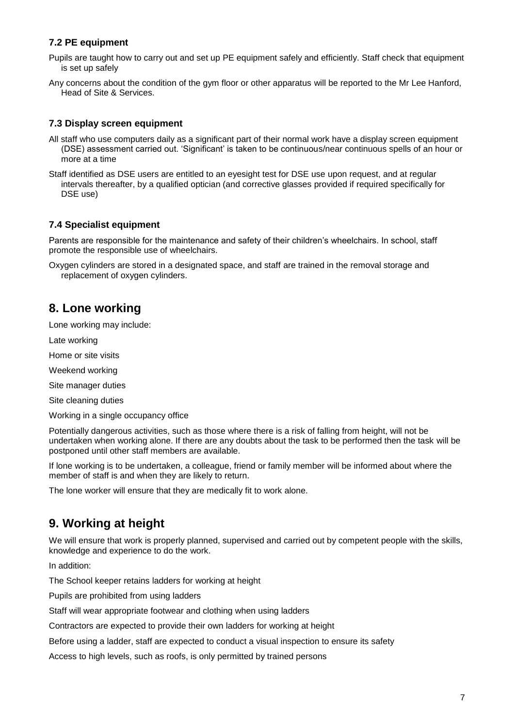#### **7.2 PE equipment**

- Pupils are taught how to carry out and set up PE equipment safely and efficiently. Staff check that equipment is set up safely
- Any concerns about the condition of the gym floor or other apparatus will be reported to the Mr Lee Hanford, Head of Site & Services.

#### **7.3 Display screen equipment**

- All staff who use computers daily as a significant part of their normal work have a display screen equipment (DSE) assessment carried out. 'Significant' is taken to be continuous/near continuous spells of an hour or more at a time
- Staff identified as DSE users are entitled to an eyesight test for DSE use upon request, and at regular intervals thereafter, by a qualified optician (and corrective glasses provided if required specifically for DSE use)

#### **7.4 Specialist equipment**

Parents are responsible for the maintenance and safety of their children's wheelchairs. In school, staff promote the responsible use of wheelchairs.

Oxygen cylinders are stored in a designated space, and staff are trained in the removal storage and replacement of oxygen cylinders.

## **8. Lone working**

Lone working may include:

Late working

Home or site visits

Weekend working

Site manager duties

Site cleaning duties

Working in a single occupancy office

Potentially dangerous activities, such as those where there is a risk of falling from height, will not be undertaken when working alone. If there are any doubts about the task to be performed then the task will be postponed until other staff members are available.

If lone working is to be undertaken, a colleague, friend or family member will be informed about where the member of staff is and when they are likely to return.

The lone worker will ensure that they are medically fit to work alone.

## **9. Working at height**

We will ensure that work is properly planned, supervised and carried out by competent people with the skills, knowledge and experience to do the work.

In addition:

The School keeper retains ladders for working at height

Pupils are prohibited from using ladders

Staff will wear appropriate footwear and clothing when using ladders

Contractors are expected to provide their own ladders for working at height

Before using a ladder, staff are expected to conduct a visual inspection to ensure its safety

Access to high levels, such as roofs, is only permitted by trained persons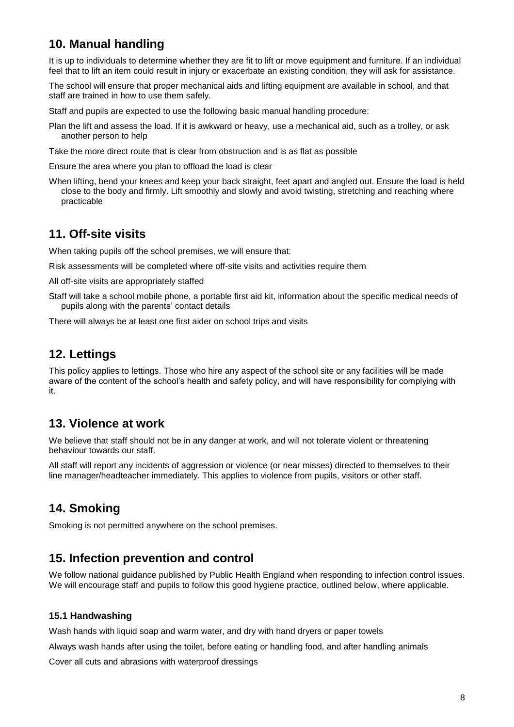## **10. Manual handling**

It is up to individuals to determine whether they are fit to lift or move equipment and furniture. If an individual feel that to lift an item could result in injury or exacerbate an existing condition, they will ask for assistance.

The school will ensure that proper mechanical aids and lifting equipment are available in school, and that staff are trained in how to use them safely.

Staff and pupils are expected to use the following basic manual handling procedure:

- Plan the lift and assess the load. If it is awkward or heavy, use a mechanical aid, such as a trolley, or ask another person to help
- Take the more direct route that is clear from obstruction and is as flat as possible

Ensure the area where you plan to offload the load is clear

When lifting, bend your knees and keep your back straight, feet apart and angled out. Ensure the load is held close to the body and firmly. Lift smoothly and slowly and avoid twisting, stretching and reaching where practicable

## **11. Off-site visits**

When taking pupils off the school premises, we will ensure that:

Risk assessments will be completed where off-site visits and activities require them

All off-site visits are appropriately staffed

Staff will take a school mobile phone, a portable first aid kit, information about the specific medical needs of pupils along with the parents' contact details

There will always be at least one first aider on school trips and visits

## **12. Lettings**

This policy applies to lettings. Those who hire any aspect of the school site or any facilities will be made aware of the content of the school's health and safety policy, and will have responsibility for complying with it.

## **13. Violence at work**

We believe that staff should not be in any danger at work, and will not tolerate violent or threatening behaviour towards our staff.

All staff will report any incidents of aggression or violence (or near misses) directed to themselves to their line manager/headteacher immediately. This applies to violence from pupils, visitors or other staff.

## **14. Smoking**

Smoking is not permitted anywhere on the school premises.

#### **15. Infection prevention and control**

We follow national guidance published by Public Health England when responding to infection control issues. We will encourage staff and pupils to follow this good hygiene practice, outlined below, where applicable.

#### **15.1 Handwashing**

Wash hands with liquid soap and warm water, and dry with hand dryers or paper towels

Always wash hands after using the toilet, before eating or handling food, and after handling animals

Cover all cuts and abrasions with waterproof dressings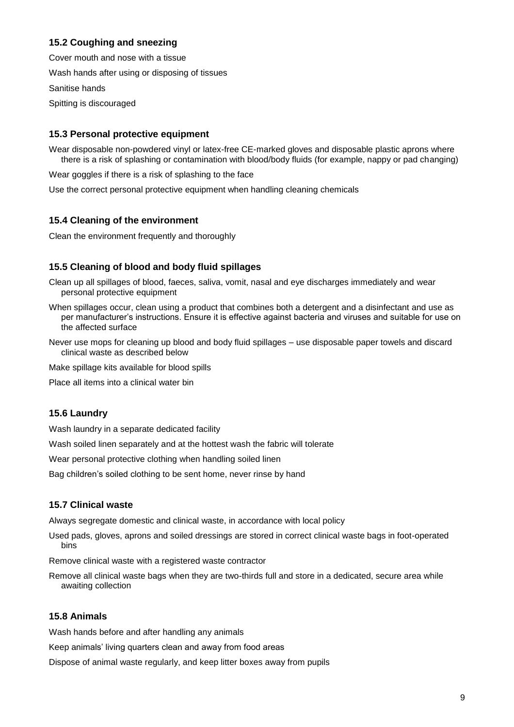#### **15.2 Coughing and sneezing**

Cover mouth and nose with a tissue

Wash hands after using or disposing of tissues

Sanitise hands

Spitting is discouraged

#### **15.3 Personal protective equipment**

Wear disposable non-powdered vinyl or latex-free CE-marked gloves and disposable plastic aprons where there is a risk of splashing or contamination with blood/body fluids (for example, nappy or pad changing)

Wear goggles if there is a risk of splashing to the face

Use the correct personal protective equipment when handling cleaning chemicals

#### **15.4 Cleaning of the environment**

Clean the environment frequently and thoroughly

#### **15.5 Cleaning of blood and body fluid spillages**

Clean up all spillages of blood, faeces, saliva, vomit, nasal and eye discharges immediately and wear personal protective equipment

- When spillages occur, clean using a product that combines both a detergent and a disinfectant and use as per manufacturer's instructions. Ensure it is effective against bacteria and viruses and suitable for use on the affected surface
- Never use mops for cleaning up blood and body fluid spillages use disposable paper towels and discard clinical waste as described below

Make spillage kits available for blood spills

Place all items into a clinical water bin

#### **15.6 Laundry**

Wash laundry in a separate dedicated facility

Wash soiled linen separately and at the hottest wash the fabric will tolerate

Wear personal protective clothing when handling soiled linen

Bag children's soiled clothing to be sent home, never rinse by hand

#### **15.7 Clinical waste**

Always segregate domestic and clinical waste, in accordance with local policy

Used pads, gloves, aprons and soiled dressings are stored in correct clinical waste bags in foot-operated bins

Remove clinical waste with a registered waste contractor

Remove all clinical waste bags when they are two-thirds full and store in a dedicated, secure area while awaiting collection

#### **15.8 Animals**

Wash hands before and after handling any animals

Keep animals' living quarters clean and away from food areas

Dispose of animal waste regularly, and keep litter boxes away from pupils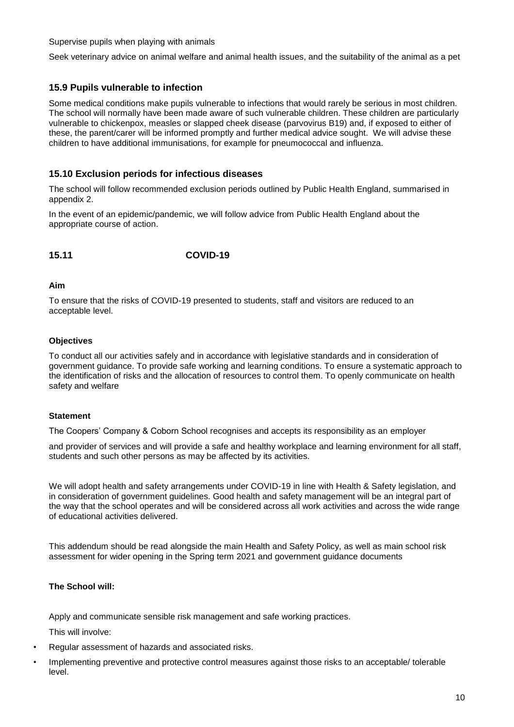Supervise pupils when playing with animals

Seek veterinary advice on animal welfare and animal health issues, and the suitability of the animal as a pet

#### **15.9 Pupils vulnerable to infection**

Some medical conditions make pupils vulnerable to infections that would rarely be serious in most children. The school will normally have been made aware of such vulnerable children. These children are particularly vulnerable to chickenpox, measles or slapped cheek disease (parvovirus B19) and, if exposed to either of these, the parent/carer will be informed promptly and further medical advice sought. We will advise these children to have additional immunisations, for example for pneumococcal and influenza.

#### **15.10 Exclusion periods for infectious diseases**

The school will follow recommended exclusion periods outlined by Public Health England, summarised in appendix 2.

In the event of an epidemic/pandemic, we will follow advice from Public Health England about the appropriate course of action.

#### **15.11 COVID-19**

#### **Aim**

To ensure that the risks of COVID-19 presented to students, staff and visitors are reduced to an acceptable level.

#### **Objectives**

To conduct all our activities safely and in accordance with legislative standards and in consideration of government guidance. To provide safe working and learning conditions. To ensure a systematic approach to the identification of risks and the allocation of resources to control them. To openly communicate on health safety and welfare

#### **Statement**

The Coopers' Company & Coborn School recognises and accepts its responsibility as an employer

and provider of services and will provide a safe and healthy workplace and learning environment for all staff, students and such other persons as may be affected by its activities.

We will adopt health and safety arrangements under COVID-19 in line with Health & Safety legislation, and in consideration of government guidelines. Good health and safety management will be an integral part of the way that the school operates and will be considered across all work activities and across the wide range of educational activities delivered.

This addendum should be read alongside the main Health and Safety Policy, as well as main school risk assessment for wider opening in the Spring term 2021 and government guidance documents

#### **The School will:**

Apply and communicate sensible risk management and safe working practices.

This will involve:

- Regular assessment of hazards and associated risks.
- Implementing preventive and protective control measures against those risks to an acceptable/ tolerable level.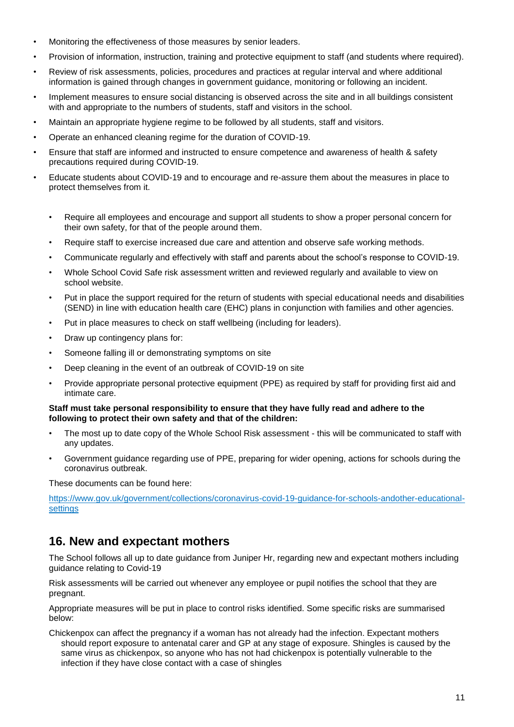- Monitoring the effectiveness of those measures by senior leaders.
- Provision of information, instruction, training and protective equipment to staff (and students where required).
- Review of risk assessments, policies, procedures and practices at regular interval and where additional information is gained through changes in government guidance, monitoring or following an incident.
- Implement measures to ensure social distancing is observed across the site and in all buildings consistent with and appropriate to the numbers of students, staff and visitors in the school.
- Maintain an appropriate hygiene regime to be followed by all students, staff and visitors.
- Operate an enhanced cleaning regime for the duration of COVID-19.
- Ensure that staff are informed and instructed to ensure competence and awareness of health & safety precautions required during COVID-19.
- Educate students about COVID-19 and to encourage and re-assure them about the measures in place to protect themselves from it.
	- Require all employees and encourage and support all students to show a proper personal concern for their own safety, for that of the people around them.
	- Require staff to exercise increased due care and attention and observe safe working methods.
	- Communicate regularly and effectively with staff and parents about the school's response to COVID-19.
	- Whole School Covid Safe risk assessment written and reviewed regularly and available to view on school website.
	- Put in place the support required for the return of students with special educational needs and disabilities (SEND) in line with education health care (EHC) plans in conjunction with families and other agencies.
	- Put in place measures to check on staff wellbeing (including for leaders).
	- Draw up contingency plans for:
	- Someone falling ill or demonstrating symptoms on site
	- Deep cleaning in the event of an outbreak of COVID-19 on site
	- Provide appropriate personal protective equipment (PPE) as required by staff for providing first aid and intimate care.

#### **Staff must take personal responsibility to ensure that they have fully read and adhere to the following to protect their own safety and that of the children:**

- The most up to date copy of the Whole School Risk assessment this will be communicated to staff with any updates.
- Government guidance regarding use of PPE, preparing for wider opening, actions for schools during the coronavirus outbreak.

These documents can be found here:

https://www.gov.uk/government/collections/coronavirus-covid-19-guidance-for-schools-andother-educationalsettings

## **16. New and expectant mothers**

The School follows all up to date guidance from Juniper Hr, regarding new and expectant mothers including guidance relating to Covid-19

Risk assessments will be carried out whenever any employee or pupil notifies the school that they are pregnant.

Appropriate measures will be put in place to control risks identified. Some specific risks are summarised below:

Chickenpox can affect the pregnancy if a woman has not already had the infection. Expectant mothers should report exposure to antenatal carer and GP at any stage of exposure. Shingles is caused by the same virus as chickenpox, so anyone who has not had chickenpox is potentially vulnerable to the infection if they have close contact with a case of shingles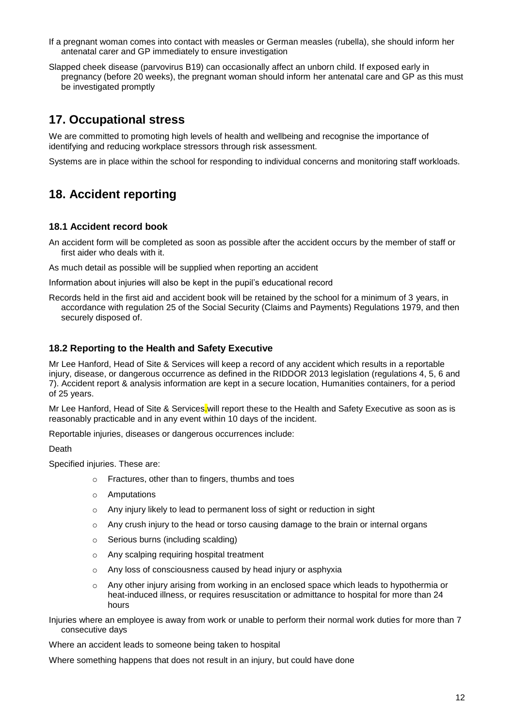- If a pregnant woman comes into contact with measles or German measles (rubella), she should inform her antenatal carer and GP immediately to ensure investigation
- Slapped cheek disease (parvovirus B19) can occasionally affect an unborn child. If exposed early in pregnancy (before 20 weeks), the pregnant woman should inform her antenatal care and GP as this must be investigated promptly

## **17. Occupational stress**

We are committed to promoting high levels of health and wellbeing and recognise the importance of identifying and reducing workplace stressors through risk assessment.

Systems are in place within the school for responding to individual concerns and monitoring staff workloads.

## **18. Accident reporting**

#### **18.1 Accident record book**

An accident form will be completed as soon as possible after the accident occurs by the member of staff or first aider who deals with it.

As much detail as possible will be supplied when reporting an accident

Information about injuries will also be kept in the pupil's educational record

Records held in the first aid and accident book will be retained by the school for a minimum of 3 years, in accordance with regulation 25 of the Social Security (Claims and Payments) Regulations 1979, and then securely disposed of.

#### **18.2 Reporting to the Health and Safety Executive**

Mr Lee Hanford, Head of Site & Services will keep a record of any accident which results in a reportable injury, disease, or dangerous occurrence as defined in the RIDDOR 2013 legislation (regulations 4, 5, 6 and 7). Accident report & analysis information are kept in a secure location, Humanities containers, for a period of 25 years.

Mr Lee Hanford, Head of Site & Services.will report these to the Health and Safety Executive as soon as is reasonably practicable and in any event within 10 days of the incident.

Reportable injuries, diseases or dangerous occurrences include:

Death

Specified injuries. These are:

- o Fractures, other than to fingers, thumbs and toes
- o Amputations
- o Any injury likely to lead to permanent loss of sight or reduction in sight
- $\circ$  Any crush injury to the head or torso causing damage to the brain or internal organs
- o Serious burns (including scalding)
- o Any scalping requiring hospital treatment
- o Any loss of consciousness caused by head injury or asphyxia
- o Any other injury arising from working in an enclosed space which leads to hypothermia or heat-induced illness, or requires resuscitation or admittance to hospital for more than 24 hours

Injuries where an employee is away from work or unable to perform their normal work duties for more than 7 consecutive days

Where an accident leads to someone being taken to hospital

Where something happens that does not result in an injury, but could have done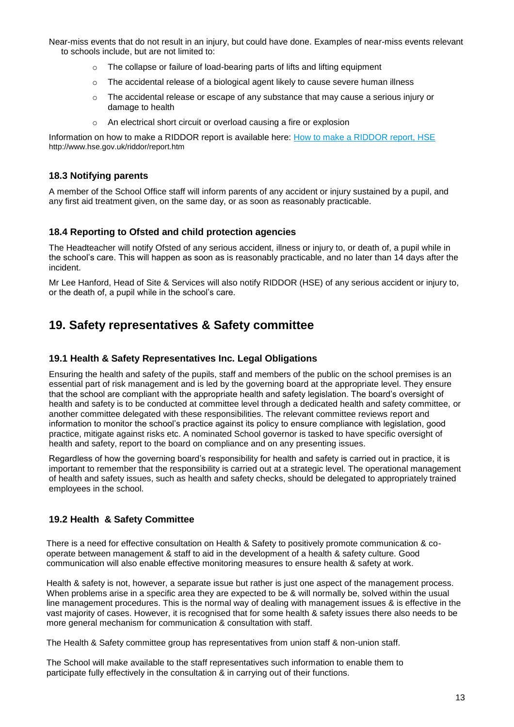Near-miss events that do not result in an injury, but could have done. Examples of near-miss events relevant to schools include, but are not limited to:

- o The collapse or failure of load-bearing parts of lifts and lifting equipment
- $\circ$  The accidental release of a biological agent likely to cause severe human illness
- $\circ$  The accidental release or escape of any substance that may cause a serious injury or damage to health
- o An electrical short circuit or overload causing a fire or explosion

Information on how to make a RIDDOR report is available here: [How to make a RIDDOR report, HSE](http://www.hse.gov.uk/riddor/report.htm) http://www.hse.gov.uk/riddor/report.htm

#### **18.3 Notifying parents**

A member of the School Office staff will inform parents of any accident or injury sustained by a pupil, and any first aid treatment given, on the same day, or as soon as reasonably practicable.

#### **18.4 Reporting to Ofsted and child protection agencies**

The Headteacher will notify Ofsted of any serious accident, illness or injury to, or death of, a pupil while in the school's care. This will happen as soon as is reasonably practicable, and no later than 14 days after the incident.

Mr Lee Hanford, Head of Site & Services will also notify RIDDOR (HSE) of any serious accident or injury to, or the death of, a pupil while in the school's care.

## **19. Safety representatives & Safety committee**

#### **19.1 Health & Safety Representatives Inc. Legal Obligations**

Ensuring the health and safety of the pupils, staff and members of the public on the school premises is an essential part of risk management and is led by the governing board at the appropriate level. They ensure that the school are compliant with the appropriate health and safety legislation. The board's oversight of health and safety is to be conducted at committee level through a dedicated health and safety committee, or another committee delegated with these responsibilities. The relevant committee reviews report and information to monitor the school's practice against its policy to ensure compliance with legislation, good practice, mitigate against risks etc. A nominated School governor is tasked to have specific oversight of health and safety, report to the board on compliance and on any presenting issues.

Regardless of how the governing board's responsibility for health and safety is carried out in practice, it is important to remember that the responsibility is carried out at a strategic level. The operational management of health and safety issues, such as health and safety checks, should be delegated to appropriately trained employees in the school.

#### **19.2 Health & Safety Committee**

There is a need for effective consultation on Health & Safety to positively promote communication & cooperate between management & staff to aid in the development of a health & safety culture. Good communication will also enable effective monitoring measures to ensure health & safety at work.

Health & safety is not, however, a separate issue but rather is just one aspect of the management process. When problems arise in a specific area they are expected to be & will normally be, solved within the usual line management procedures. This is the normal way of dealing with management issues & is effective in the vast majority of cases. However, it is recognised that for some health & safety issues there also needs to be more general mechanism for communication & consultation with staff.

The Health & Safety committee group has representatives from union staff & non-union staff.

The School will make available to the staff representatives such information to enable them to participate fully effectively in the consultation & in carrying out of their functions.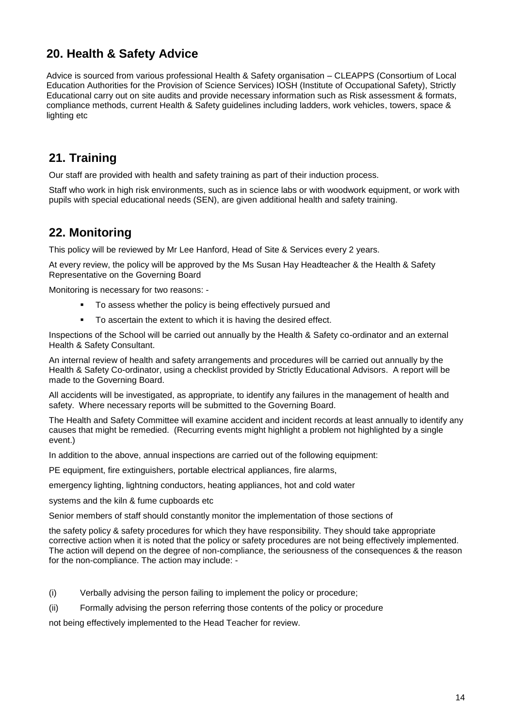## **20. Health & Safety Advice**

Advice is sourced from various professional Health & Safety organisation – CLEAPPS (Consortium of Local Education Authorities for the Provision of Science Services) IOSH (Institute of Occupational Safety), Strictly Educational carry out on site audits and provide necessary information such as Risk assessment & formats, compliance methods, current Health & Safety guidelines including ladders, work vehicles, towers, space & lighting etc

## **21. Training**

Our staff are provided with health and safety training as part of their induction process.

Staff who work in high risk environments, such as in science labs or with woodwork equipment, or work with pupils with special educational needs (SEN), are given additional health and safety training.

## **22. Monitoring**

This policy will be reviewed by Mr Lee Hanford, Head of Site & Services every 2 years.

At every review, the policy will be approved by the Ms Susan Hay Headteacher & the Health & Safety Representative on the Governing Board

Monitoring is necessary for two reasons: -

- To assess whether the policy is being effectively pursued and
- To ascertain the extent to which it is having the desired effect.

Inspections of the School will be carried out annually by the Health & Safety co-ordinator and an external Health & Safety Consultant.

An internal review of health and safety arrangements and procedures will be carried out annually by the Health & Safety Co-ordinator, using a checklist provided by Strictly Educational Advisors. A report will be made to the Governing Board.

All accidents will be investigated, as appropriate, to identify any failures in the management of health and safety. Where necessary reports will be submitted to the Governing Board.

The Health and Safety Committee will examine accident and incident records at least annually to identify any causes that might be remedied. (Recurring events might highlight a problem not highlighted by a single event.)

In addition to the above, annual inspections are carried out of the following equipment:

PE equipment, fire extinguishers, portable electrical appliances, fire alarms,

emergency lighting, lightning conductors, heating appliances, hot and cold water

systems and the kiln & fume cupboards etc

Senior members of staff should constantly monitor the implementation of those sections of

the safety policy & safety procedures for which they have responsibility. They should take appropriate corrective action when it is noted that the policy or safety procedures are not being effectively implemented. The action will depend on the degree of non-compliance, the seriousness of the consequences & the reason for the non-compliance. The action may include: -

(i) Verbally advising the person failing to implement the policy or procedure;

(ii) Formally advising the person referring those contents of the policy or procedure

not being effectively implemented to the Head Teacher for review.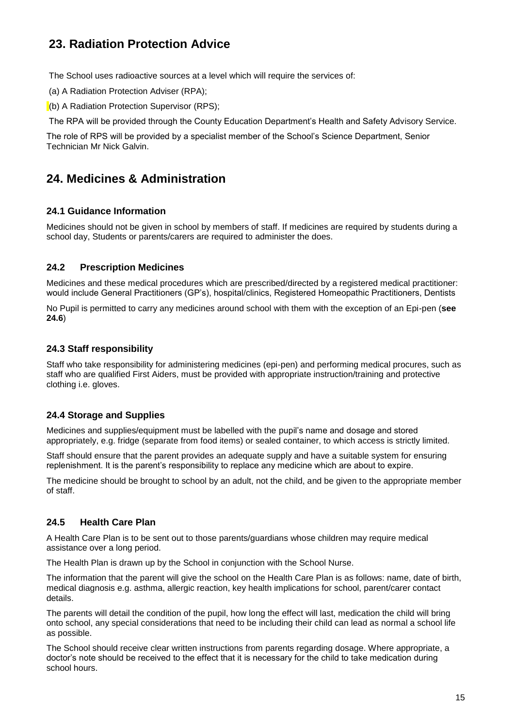## **23. Radiation Protection Advice**

The School uses radioactive sources at a level which will require the services of:

(a) A Radiation Protection Adviser (RPA);

(b) A Radiation Protection Supervisor (RPS);

The RPA will be provided through the County Education Department's Health and Safety Advisory Service.

The role of RPS will be provided by a specialist member of the School's Science Department, Senior Technician Mr Nick Galvin.

## **24. Medicines & Administration**

#### **24.1 Guidance Information**

Medicines should not be given in school by members of staff. If medicines are required by students during a school day, Students or parents/carers are required to administer the does.

#### **24.2 Prescription Medicines**

Medicines and these medical procedures which are prescribed/directed by a registered medical practitioner: would include General Practitioners (GP's), hospital/clinics, Registered Homeopathic Practitioners, Dentists

No Pupil is permitted to carry any medicines around school with them with the exception of an Epi-pen (**see 24.6**)

#### **24.3 Staff responsibility**

Staff who take responsibility for administering medicines (epi-pen) and performing medical procures, such as staff who are qualified First Aiders, must be provided with appropriate instruction/training and protective clothing i.e. gloves.

#### **24.4 Storage and Supplies**

Medicines and supplies/equipment must be labelled with the pupil's name and dosage and stored appropriately, e.g. fridge (separate from food items) or sealed container, to which access is strictly limited.

Staff should ensure that the parent provides an adequate supply and have a suitable system for ensuring replenishment. It is the parent's responsibility to replace any medicine which are about to expire.

The medicine should be brought to school by an adult, not the child, and be given to the appropriate member of staff.

#### **24.5 Health Care Plan**

A Health Care Plan is to be sent out to those parents/guardians whose children may require medical assistance over a long period.

The Health Plan is drawn up by the School in conjunction with the School Nurse.

The information that the parent will give the school on the Health Care Plan is as follows: name, date of birth, medical diagnosis e.g. asthma, allergic reaction, key health implications for school, parent/carer contact details.

The parents will detail the condition of the pupil, how long the effect will last, medication the child will bring onto school, any special considerations that need to be including their child can lead as normal a school life as possible.

The School should receive clear written instructions from parents regarding dosage. Where appropriate, a doctor's note should be received to the effect that it is necessary for the child to take medication during school hours.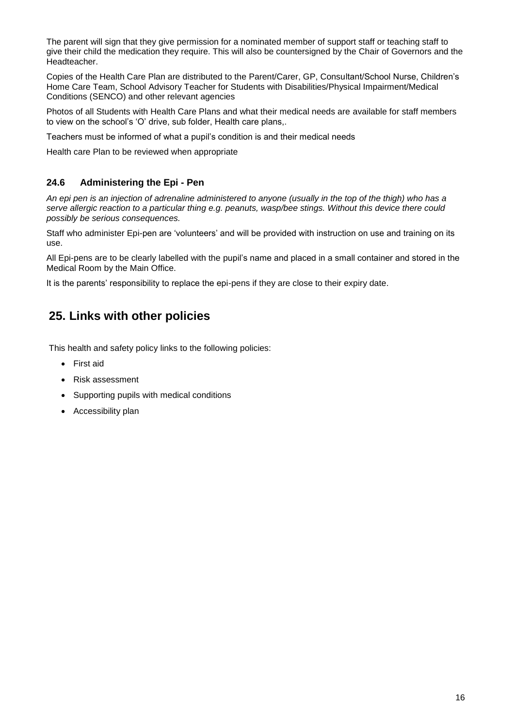The parent will sign that they give permission for a nominated member of support staff or teaching staff to give their child the medication they require. This will also be countersigned by the Chair of Governors and the Headteacher.

Copies of the Health Care Plan are distributed to the Parent/Carer, GP, Consultant/School Nurse, Children's Home Care Team, School Advisory Teacher for Students with Disabilities/Physical Impairment/Medical Conditions (SENCO) and other relevant agencies

Photos of all Students with Health Care Plans and what their medical needs are available for staff members to view on the school's 'O' drive, sub folder, Health care plans,.

Teachers must be informed of what a pupil's condition is and their medical needs

Health care Plan to be reviewed when appropriate

#### **24.6 Administering the Epi - Pen**

*An epi pen is an injection of adrenaline administered to anyone (usually in the top of the thigh) who has a serve allergic reaction to a particular thing e.g. peanuts, wasp/bee stings. Without this device there could possibly be serious consequences.* 

Staff who administer Epi-pen are 'volunteers' and will be provided with instruction on use and training on its use.

All Epi-pens are to be clearly labelled with the pupil's name and placed in a small container and stored in the Medical Room by the Main Office.

It is the parents' responsibility to replace the epi-pens if they are close to their expiry date.

## **25. Links with other policies**

This health and safety policy links to the following policies:

- First aid
- Risk assessment
- Supporting pupils with medical conditions
- Accessibility plan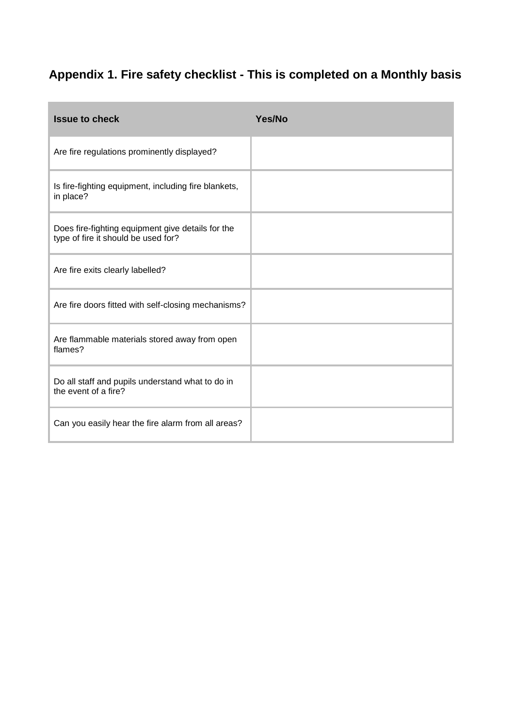## **Appendix 1. Fire safety checklist - This is completed on a Monthly basis**

| <b>Issue to check</b>                                                                    | Yes/No |
|------------------------------------------------------------------------------------------|--------|
| Are fire regulations prominently displayed?                                              |        |
| Is fire-fighting equipment, including fire blankets,<br>in place?                        |        |
| Does fire-fighting equipment give details for the<br>type of fire it should be used for? |        |
| Are fire exits clearly labelled?                                                         |        |
| Are fire doors fitted with self-closing mechanisms?                                      |        |
| Are flammable materials stored away from open<br>flames?                                 |        |
| Do all staff and pupils understand what to do in<br>the event of a fire?                 |        |
| Can you easily hear the fire alarm from all areas?                                       |        |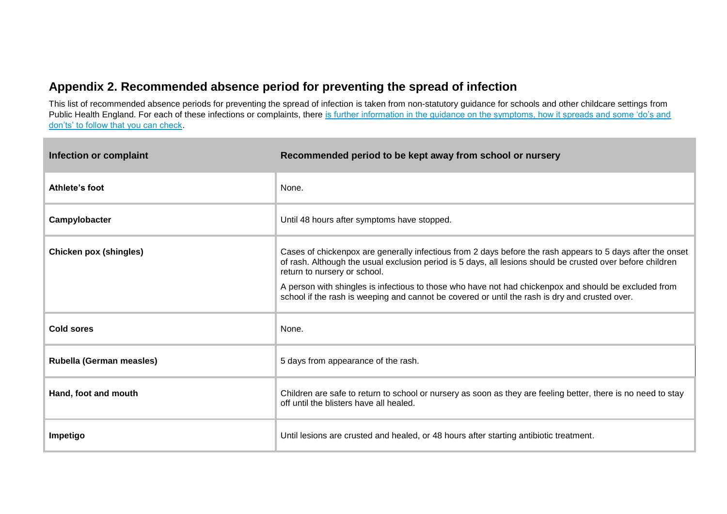## **Appendix 2. Recommended absence period for preventing the spread of infection**

This list of recommended absence periods for preventing the spread of infection is taken from non-statutory guidance for schools and other childcare settings from Public Health England. For each of these infections or complaints, there is further information in the guidance on the symptoms, how it spreads and some 'do's and [don'ts' to follow that you can check.](https://www.gov.uk/government/publications/health-protection-in-schools-and-other-childcare-facilities/chapter-9-managing-specific-infectious-diseases)

| Infection or complaint        | Recommended period to be kept away from school or nursery                                                                                                                                                                                                                                                                                                                                                                                                           |
|-------------------------------|---------------------------------------------------------------------------------------------------------------------------------------------------------------------------------------------------------------------------------------------------------------------------------------------------------------------------------------------------------------------------------------------------------------------------------------------------------------------|
| Athlete's foot                | None.                                                                                                                                                                                                                                                                                                                                                                                                                                                               |
| Campylobacter                 | Until 48 hours after symptoms have stopped.                                                                                                                                                                                                                                                                                                                                                                                                                         |
| <b>Chicken pox (shingles)</b> | Cases of chickenpox are generally infectious from 2 days before the rash appears to 5 days after the onset<br>of rash. Although the usual exclusion period is 5 days, all lesions should be crusted over before children<br>return to nursery or school.<br>A person with shingles is infectious to those who have not had chickenpox and should be excluded from<br>school if the rash is weeping and cannot be covered or until the rash is dry and crusted over. |
| Cold sores                    | None.                                                                                                                                                                                                                                                                                                                                                                                                                                                               |
| Rubella (German measles)      | 5 days from appearance of the rash.                                                                                                                                                                                                                                                                                                                                                                                                                                 |
| Hand, foot and mouth          | Children are safe to return to school or nursery as soon as they are feeling better, there is no need to stay<br>off until the blisters have all healed.                                                                                                                                                                                                                                                                                                            |
| Impetigo                      | Until lesions are crusted and healed, or 48 hours after starting antibiotic treatment.                                                                                                                                                                                                                                                                                                                                                                              |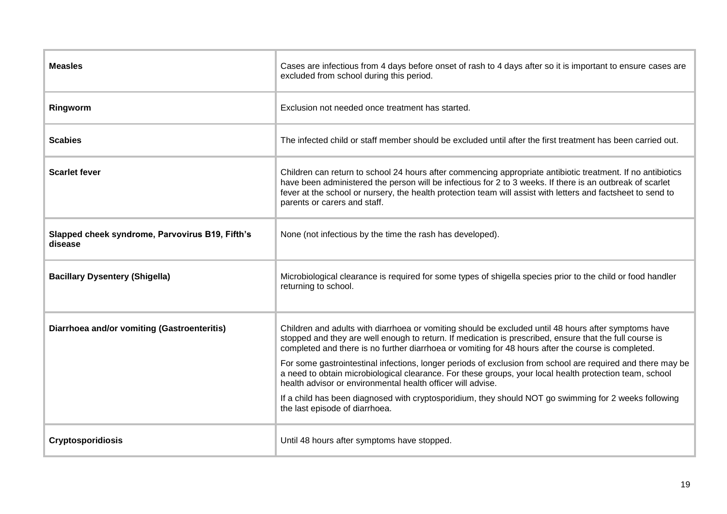| <b>Measles</b>                                             | Cases are infectious from 4 days before onset of rash to 4 days after so it is important to ensure cases are<br>excluded from school during this period.                                                                                                                                                                                                                                                                                                                                                                                                                                                                                                                                                                                                   |
|------------------------------------------------------------|------------------------------------------------------------------------------------------------------------------------------------------------------------------------------------------------------------------------------------------------------------------------------------------------------------------------------------------------------------------------------------------------------------------------------------------------------------------------------------------------------------------------------------------------------------------------------------------------------------------------------------------------------------------------------------------------------------------------------------------------------------|
| Ringworm                                                   | Exclusion not needed once treatment has started.                                                                                                                                                                                                                                                                                                                                                                                                                                                                                                                                                                                                                                                                                                           |
| <b>Scabies</b>                                             | The infected child or staff member should be excluded until after the first treatment has been carried out.                                                                                                                                                                                                                                                                                                                                                                                                                                                                                                                                                                                                                                                |
| <b>Scarlet fever</b>                                       | Children can return to school 24 hours after commencing appropriate antibiotic treatment. If no antibiotics<br>have been administered the person will be infectious for 2 to 3 weeks. If there is an outbreak of scarlet<br>fever at the school or nursery, the health protection team will assist with letters and factsheet to send to<br>parents or carers and staff.                                                                                                                                                                                                                                                                                                                                                                                   |
| Slapped cheek syndrome, Parvovirus B19, Fifth's<br>disease | None (not infectious by the time the rash has developed).                                                                                                                                                                                                                                                                                                                                                                                                                                                                                                                                                                                                                                                                                                  |
| <b>Bacillary Dysentery (Shigella)</b>                      | Microbiological clearance is required for some types of shigella species prior to the child or food handler<br>returning to school.                                                                                                                                                                                                                                                                                                                                                                                                                                                                                                                                                                                                                        |
| Diarrhoea and/or vomiting (Gastroenteritis)                | Children and adults with diarrhoea or vomiting should be excluded until 48 hours after symptoms have<br>stopped and they are well enough to return. If medication is prescribed, ensure that the full course is<br>completed and there is no further diarrhoea or vomiting for 48 hours after the course is completed.<br>For some gastrointestinal infections, longer periods of exclusion from school are required and there may be<br>a need to obtain microbiological clearance. For these groups, your local health protection team, school<br>health advisor or environmental health officer will advise.<br>If a child has been diagnosed with cryptosporidium, they should NOT go swimming for 2 weeks following<br>the last episode of diarrhoea. |
| <b>Cryptosporidiosis</b>                                   | Until 48 hours after symptoms have stopped.                                                                                                                                                                                                                                                                                                                                                                                                                                                                                                                                                                                                                                                                                                                |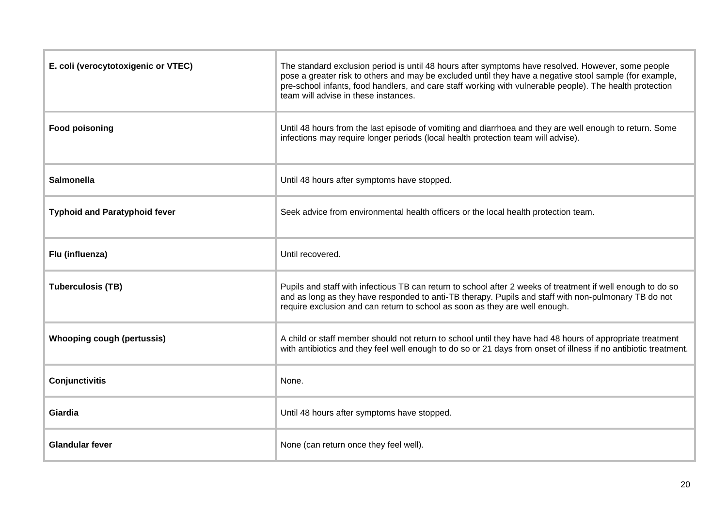| E. coli (verocytotoxigenic or VTEC)  | The standard exclusion period is until 48 hours after symptoms have resolved. However, some people<br>pose a greater risk to others and may be excluded until they have a negative stool sample (for example,<br>pre-school infants, food handlers, and care staff working with vulnerable people). The health protection<br>team will advise in these instances. |
|--------------------------------------|-------------------------------------------------------------------------------------------------------------------------------------------------------------------------------------------------------------------------------------------------------------------------------------------------------------------------------------------------------------------|
| <b>Food poisoning</b>                | Until 48 hours from the last episode of vomiting and diarrhoea and they are well enough to return. Some<br>infections may require longer periods (local health protection team will advise).                                                                                                                                                                      |
| <b>Salmonella</b>                    | Until 48 hours after symptoms have stopped.                                                                                                                                                                                                                                                                                                                       |
| <b>Typhoid and Paratyphoid fever</b> | Seek advice from environmental health officers or the local health protection team.                                                                                                                                                                                                                                                                               |
| Flu (influenza)                      | Until recovered.                                                                                                                                                                                                                                                                                                                                                  |
| <b>Tuberculosis (TB)</b>             | Pupils and staff with infectious TB can return to school after 2 weeks of treatment if well enough to do so<br>and as long as they have responded to anti-TB therapy. Pupils and staff with non-pulmonary TB do not<br>require exclusion and can return to school as soon as they are well enough.                                                                |
| <b>Whooping cough (pertussis)</b>    | A child or staff member should not return to school until they have had 48 hours of appropriate treatment<br>with antibiotics and they feel well enough to do so or 21 days from onset of illness if no antibiotic treatment.                                                                                                                                     |
| Conjunctivitis                       | None.                                                                                                                                                                                                                                                                                                                                                             |
| Giardia                              | Until 48 hours after symptoms have stopped.                                                                                                                                                                                                                                                                                                                       |
| <b>Glandular fever</b>               | None (can return once they feel well).                                                                                                                                                                                                                                                                                                                            |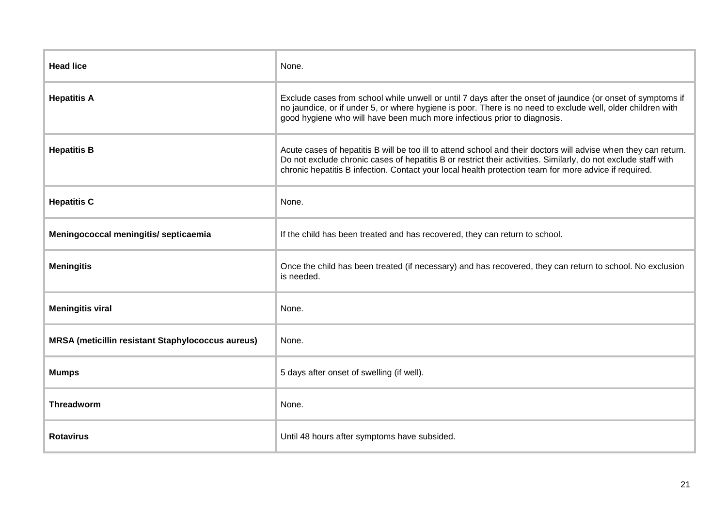| <b>Head lice</b>                                         | None.                                                                                                                                                                                                                                                                                                                                      |
|----------------------------------------------------------|--------------------------------------------------------------------------------------------------------------------------------------------------------------------------------------------------------------------------------------------------------------------------------------------------------------------------------------------|
| <b>Hepatitis A</b>                                       | Exclude cases from school while unwell or until 7 days after the onset of jaundice (or onset of symptoms if<br>no jaundice, or if under 5, or where hygiene is poor. There is no need to exclude well, older children with<br>good hygiene who will have been much more infectious prior to diagnosis.                                     |
| <b>Hepatitis B</b>                                       | Acute cases of hepatitis B will be too ill to attend school and their doctors will advise when they can return.<br>Do not exclude chronic cases of hepatitis B or restrict their activities. Similarly, do not exclude staff with<br>chronic hepatitis B infection. Contact your local health protection team for more advice if required. |
| <b>Hepatitis C</b>                                       | None.                                                                                                                                                                                                                                                                                                                                      |
| Meningococcal meningitis/ septicaemia                    | If the child has been treated and has recovered, they can return to school.                                                                                                                                                                                                                                                                |
| <b>Meningitis</b>                                        | Once the child has been treated (if necessary) and has recovered, they can return to school. No exclusion<br>is needed.                                                                                                                                                                                                                    |
| <b>Meningitis viral</b>                                  | None.                                                                                                                                                                                                                                                                                                                                      |
| <b>MRSA</b> (meticillin resistant Staphylococcus aureus) | None.                                                                                                                                                                                                                                                                                                                                      |
| <b>Mumps</b>                                             | 5 days after onset of swelling (if well).                                                                                                                                                                                                                                                                                                  |
| Threadworm                                               | None.                                                                                                                                                                                                                                                                                                                                      |
| <b>Rotavirus</b>                                         | Until 48 hours after symptoms have subsided.                                                                                                                                                                                                                                                                                               |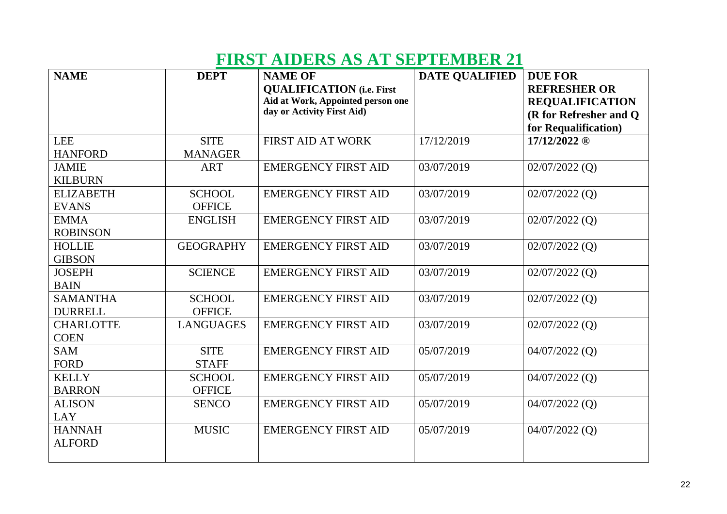## **FIRST AIDERS AS AT SEPTEMBER 21**

| <b>NAME</b>                       | <b>DEPT</b>                    | <b>NAME OF</b><br><b>QUALIFICATION</b> (i.e. First<br>Aid at Work, Appointed person one<br>day or Activity First Aid) | <b>DATE QUALIFIED</b> | <b>DUE FOR</b><br><b>REFRESHER OR</b><br><b>REQUALIFICATION</b><br>(R for Refresher and Q<br>for Requalification) |
|-----------------------------------|--------------------------------|-----------------------------------------------------------------------------------------------------------------------|-----------------------|-------------------------------------------------------------------------------------------------------------------|
| <b>LEE</b><br><b>HANFORD</b>      | <b>SITE</b><br><b>MANAGER</b>  | <b>FIRST AID AT WORK</b>                                                                                              | 17/12/2019            | 17/12/2022 ®                                                                                                      |
| <b>JAMIE</b><br><b>KILBURN</b>    | <b>ART</b>                     | <b>EMERGENCY FIRST AID</b>                                                                                            | 03/07/2019            | $02/07/2022$ (Q)                                                                                                  |
| <b>ELIZABETH</b><br><b>EVANS</b>  | <b>SCHOOL</b><br><b>OFFICE</b> | <b>EMERGENCY FIRST AID</b>                                                                                            | 03/07/2019            | $02/07/2022$ (Q)                                                                                                  |
| <b>EMMA</b><br><b>ROBINSON</b>    | <b>ENGLISH</b>                 | <b>EMERGENCY FIRST AID</b>                                                                                            | 03/07/2019            | $02/07/2022$ (Q)                                                                                                  |
| <b>HOLLIE</b><br><b>GIBSON</b>    | <b>GEOGRAPHY</b>               | <b>EMERGENCY FIRST AID</b>                                                                                            | 03/07/2019            | $02/07/2022$ (Q)                                                                                                  |
| <b>JOSEPH</b><br><b>BAIN</b>      | <b>SCIENCE</b>                 | <b>EMERGENCY FIRST AID</b>                                                                                            | 03/07/2019            | $02/07/2022$ (Q)                                                                                                  |
| <b>SAMANTHA</b><br><b>DURRELL</b> | <b>SCHOOL</b><br><b>OFFICE</b> | <b>EMERGENCY FIRST AID</b>                                                                                            | 03/07/2019            | $02/07/2022$ (Q)                                                                                                  |
| <b>CHARLOTTE</b><br><b>COEN</b>   | <b>LANGUAGES</b>               | <b>EMERGENCY FIRST AID</b>                                                                                            | 03/07/2019            | $02/07/2022$ (Q)                                                                                                  |
| <b>SAM</b><br><b>FORD</b>         | <b>SITE</b><br><b>STAFF</b>    | <b>EMERGENCY FIRST AID</b>                                                                                            | 05/07/2019            | $04/07/2022$ (Q)                                                                                                  |
| <b>KELLY</b><br><b>BARRON</b>     | <b>SCHOOL</b><br><b>OFFICE</b> | <b>EMERGENCY FIRST AID</b>                                                                                            | 05/07/2019            | $04/07/2022$ (Q)                                                                                                  |
| <b>ALISON</b><br><b>LAY</b>       | <b>SENCO</b>                   | <b>EMERGENCY FIRST AID</b>                                                                                            | 05/07/2019            | $04/07/2022$ (Q)                                                                                                  |
| <b>HANNAH</b><br><b>ALFORD</b>    | <b>MUSIC</b>                   | <b>EMERGENCY FIRST AID</b>                                                                                            | 05/07/2019            | 04/07/2022 (Q)                                                                                                    |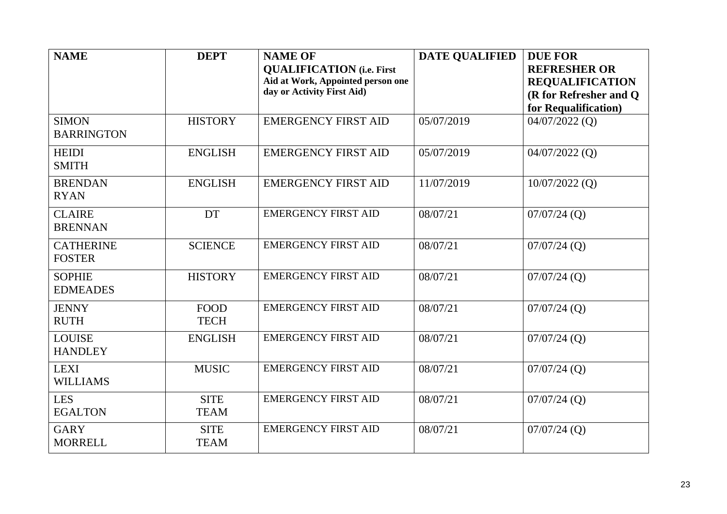| <b>NAME</b>                       | <b>DEPT</b>                | <b>NAME OF</b><br><b>QUALIFICATION</b> (i.e. First<br>Aid at Work, Appointed person one<br>day or Activity First Aid) | <b>DATE QUALIFIED</b> | <b>DUE FOR</b><br><b>REFRESHER OR</b><br><b>REQUALIFICATION</b><br>(R for Refresher and Q)<br>for Requalification) |
|-----------------------------------|----------------------------|-----------------------------------------------------------------------------------------------------------------------|-----------------------|--------------------------------------------------------------------------------------------------------------------|
| <b>SIMON</b><br><b>BARRINGTON</b> | <b>HISTORY</b>             | <b>EMERGENCY FIRST AID</b>                                                                                            | 05/07/2019            | $04/07/2022$ (Q)                                                                                                   |
| <b>HEIDI</b><br><b>SMITH</b>      | <b>ENGLISH</b>             | <b>EMERGENCY FIRST AID</b>                                                                                            | 05/07/2019            | $04/07/2022$ (Q)                                                                                                   |
| <b>BRENDAN</b><br><b>RYAN</b>     | <b>ENGLISH</b>             | <b>EMERGENCY FIRST AID</b>                                                                                            | 11/07/2019            | $10/07/2022$ (Q)                                                                                                   |
| <b>CLAIRE</b><br><b>BRENNAN</b>   | <b>DT</b>                  | <b>EMERGENCY FIRST AID</b>                                                                                            | 08/07/21              | $07/07/24$ (Q)                                                                                                     |
| <b>CATHERINE</b><br><b>FOSTER</b> | <b>SCIENCE</b>             | <b>EMERGENCY FIRST AID</b>                                                                                            | 08/07/21              | $07/07/24$ (Q)                                                                                                     |
| <b>SOPHIE</b><br><b>EDMEADES</b>  | <b>HISTORY</b>             | <b>EMERGENCY FIRST AID</b>                                                                                            | 08/07/21              | $07/07/24$ (Q)                                                                                                     |
| <b>JENNY</b><br><b>RUTH</b>       | <b>FOOD</b><br><b>TECH</b> | <b>EMERGENCY FIRST AID</b>                                                                                            | 08/07/21              | $07/07/24$ (Q)                                                                                                     |
| <b>LOUISE</b><br><b>HANDLEY</b>   | <b>ENGLISH</b>             | <b>EMERGENCY FIRST AID</b>                                                                                            | 08/07/21              | $07/07/24$ (Q)                                                                                                     |
| <b>LEXI</b><br><b>WILLIAMS</b>    | <b>MUSIC</b>               | <b>EMERGENCY FIRST AID</b>                                                                                            | 08/07/21              | $07/07/24$ (Q)                                                                                                     |
| <b>LES</b><br><b>EGALTON</b>      | <b>SITE</b><br><b>TEAM</b> | <b>EMERGENCY FIRST AID</b>                                                                                            | 08/07/21              | $07/07/24$ (Q)                                                                                                     |
| <b>GARY</b><br><b>MORRELL</b>     | <b>SITE</b><br><b>TEAM</b> | <b>EMERGENCY FIRST AID</b>                                                                                            | 08/07/21              | $07/07/24$ (Q)                                                                                                     |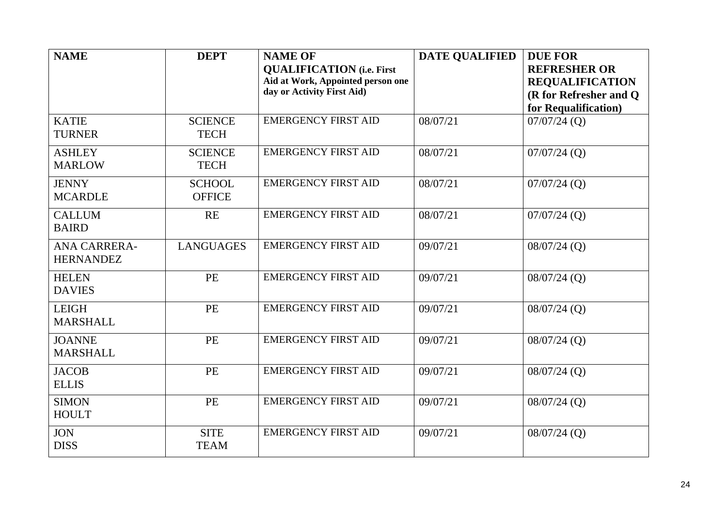| <b>NAME</b>                             | <b>DEPT</b>                    | <b>NAME OF</b><br><b>QUALIFICATION</b> (i.e. First<br>Aid at Work, Appointed person one<br>day or Activity First Aid) | <b>DATE QUALIFIED</b> | <b>DUE FOR</b><br><b>REFRESHER OR</b><br><b>REQUALIFICATION</b><br>(R for Refresher and Q |
|-----------------------------------------|--------------------------------|-----------------------------------------------------------------------------------------------------------------------|-----------------------|-------------------------------------------------------------------------------------------|
|                                         |                                |                                                                                                                       |                       | for Requalification)                                                                      |
| <b>KATIE</b><br><b>TURNER</b>           | <b>SCIENCE</b><br><b>TECH</b>  | <b>EMERGENCY FIRST AID</b>                                                                                            | 08/07/21              | $07/07/24$ (Q)                                                                            |
| <b>ASHLEY</b><br><b>MARLOW</b>          | <b>SCIENCE</b><br><b>TECH</b>  | <b>EMERGENCY FIRST AID</b>                                                                                            | 08/07/21              | $07/07/24$ (Q)                                                                            |
| <b>JENNY</b><br><b>MCARDLE</b>          | <b>SCHOOL</b><br><b>OFFICE</b> | <b>EMERGENCY FIRST AID</b>                                                                                            | 08/07/21              | $07/07/24$ (Q)                                                                            |
| <b>CALLUM</b><br><b>BAIRD</b>           | <b>RE</b>                      | <b>EMERGENCY FIRST AID</b>                                                                                            | 08/07/21              | $07/07/24$ (Q)                                                                            |
| <b>ANA CARRERA-</b><br><b>HERNANDEZ</b> | <b>LANGUAGES</b>               | <b>EMERGENCY FIRST AID</b>                                                                                            | 09/07/21              | $08/07/24$ (Q)                                                                            |
| <b>HELEN</b><br><b>DAVIES</b>           | PE                             | <b>EMERGENCY FIRST AID</b>                                                                                            | 09/07/21              | $08/07/24$ (Q)                                                                            |
| <b>LEIGH</b><br><b>MARSHALL</b>         | PE                             | <b>EMERGENCY FIRST AID</b>                                                                                            | 09/07/21              | $08/07/24$ (Q)                                                                            |
| <b>JOANNE</b><br><b>MARSHALL</b>        | <b>PE</b>                      | <b>EMERGENCY FIRST AID</b>                                                                                            | 09/07/21              | $08/07/24$ (Q)                                                                            |
| <b>JACOB</b><br><b>ELLIS</b>            | <b>PE</b>                      | <b>EMERGENCY FIRST AID</b>                                                                                            | 09/07/21              | $08/07/24$ (Q)                                                                            |
| <b>SIMON</b><br><b>HOULT</b>            | <b>PE</b>                      | <b>EMERGENCY FIRST AID</b>                                                                                            | 09/07/21              | $08/07/24$ (Q)                                                                            |
| <b>JON</b><br><b>DISS</b>               | <b>SITE</b><br><b>TEAM</b>     | <b>EMERGENCY FIRST AID</b>                                                                                            | 09/07/21              | $08/07/24$ (Q)                                                                            |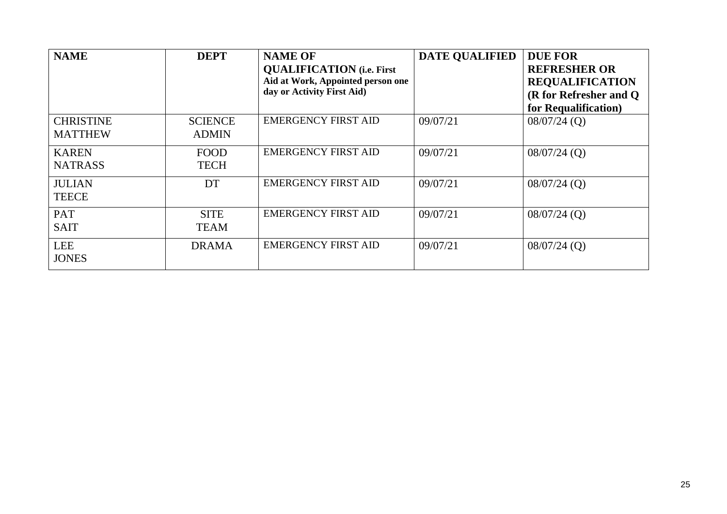| <b>NAME</b>                        | <b>DEPT</b>                    | <b>NAME OF</b><br><b>QUALIFICATION</b> (i.e. First<br>Aid at Work, Appointed person one<br>day or Activity First Aid) | <b>DATE QUALIFIED</b> | <b>DUE FOR</b><br><b>REFRESHER OR</b><br><b>REQUALIFICATION</b><br>(R for Refresher and Q)<br>for Requalification) |
|------------------------------------|--------------------------------|-----------------------------------------------------------------------------------------------------------------------|-----------------------|--------------------------------------------------------------------------------------------------------------------|
| <b>CHRISTINE</b><br><b>MATTHEW</b> | <b>SCIENCE</b><br><b>ADMIN</b> | <b>EMERGENCY FIRST AID</b>                                                                                            | 09/07/21              | $08/07/24$ (Q)                                                                                                     |
| <b>KAREN</b><br><b>NATRASS</b>     | <b>FOOD</b><br><b>TECH</b>     | <b>EMERGENCY FIRST AID</b>                                                                                            | 09/07/21              | $08/07/24$ (Q)                                                                                                     |
| <b>JULIAN</b><br><b>TEECE</b>      | DT                             | <b>EMERGENCY FIRST AID</b>                                                                                            | 09/07/21              | $08/07/24$ (Q)                                                                                                     |
| <b>PAT</b><br><b>SAIT</b>          | <b>SITE</b><br><b>TEAM</b>     | <b>EMERGENCY FIRST AID</b>                                                                                            | 09/07/21              | $08/07/24$ (Q)                                                                                                     |
| <b>LEE</b><br><b>JONES</b>         | <b>DRAMA</b>                   | <b>EMERGENCY FIRST AID</b>                                                                                            | 09/07/21              | $08/07/24$ (Q)                                                                                                     |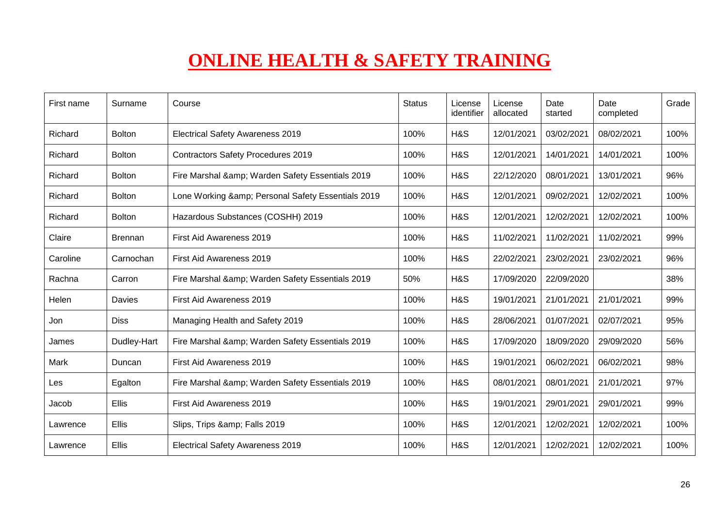## **ONLINE HEALTH & SAFETY TRAINING**

| First name | Surname       | Course                                         | <b>Status</b> | License<br>identifier | License<br>allocated | Date<br>started | Date<br>completed | Grade |
|------------|---------------|------------------------------------------------|---------------|-----------------------|----------------------|-----------------|-------------------|-------|
| Richard    | <b>Bolton</b> | <b>Electrical Safety Awareness 2019</b>        | 100%          | H&S                   | 12/01/2021           | 03/02/2021      | 08/02/2021        | 100%  |
| Richard    | <b>Bolton</b> | <b>Contractors Safety Procedures 2019</b>      | 100%          | H&S                   | 12/01/2021           | 14/01/2021      | 14/01/2021        | 100%  |
| Richard    | <b>Bolton</b> | Fire Marshal & Warden Safety Essentials 2019   | 100%          | H&S                   | 22/12/2020           | 08/01/2021      | 13/01/2021        | 96%   |
| Richard    | <b>Bolton</b> | Lone Working & Personal Safety Essentials 2019 | 100%          | H&S                   | 12/01/2021           | 09/02/2021      | 12/02/2021        | 100%  |
| Richard    | <b>Bolton</b> | Hazardous Substances (COSHH) 2019              | 100%          | H&S                   | 12/01/2021           | 12/02/2021      | 12/02/2021        | 100%  |
| Claire     | Brennan       | First Aid Awareness 2019                       | 100%          | H&S                   | 11/02/2021           | 11/02/2021      | 11/02/2021        | 99%   |
| Caroline   | Carnochan     | First Aid Awareness 2019                       | 100%          | H&S                   | 22/02/2021           | 23/02/2021      | 23/02/2021        | 96%   |
| Rachna     | Carron        | Fire Marshal & Warden Safety Essentials 2019   | 50%           | H&S                   | 17/09/2020           | 22/09/2020      |                   | 38%   |
| Helen      | Davies        | First Aid Awareness 2019                       | 100%          | H&S                   | 19/01/2021           | 21/01/2021      | 21/01/2021        | 99%   |
| Jon        | <b>Diss</b>   | Managing Health and Safety 2019                | 100%          | H&S                   | 28/06/2021           | 01/07/2021      | 02/07/2021        | 95%   |
| James      | Dudley-Hart   | Fire Marshal & Warden Safety Essentials 2019   | 100%          | H&S                   | 17/09/2020           | 18/09/2020      | 29/09/2020        | 56%   |
| Mark       | Duncan        | First Aid Awareness 2019                       | 100%          | H&S                   | 19/01/2021           | 06/02/2021      | 06/02/2021        | 98%   |
| Les        | Egalton       | Fire Marshal & Warden Safety Essentials 2019   | 100%          | H&S                   | 08/01/2021           | 08/01/2021      | 21/01/2021        | 97%   |
| Jacob      | <b>Ellis</b>  | First Aid Awareness 2019                       | 100%          | H&S                   | 19/01/2021           | 29/01/2021      | 29/01/2021        | 99%   |
| Lawrence   | <b>Ellis</b>  | Slips, Trips & Falls 2019                      | 100%          | H&S                   | 12/01/2021           | 12/02/2021      | 12/02/2021        | 100%  |
| Lawrence   | <b>Ellis</b>  | <b>Electrical Safety Awareness 2019</b>        | 100%          | H&S                   | 12/01/2021           | 12/02/2021      | 12/02/2021        | 100%  |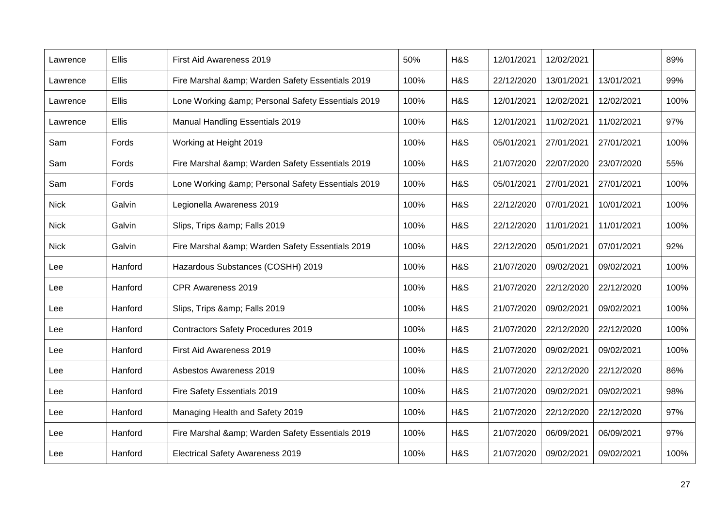| Lawrence    | Ellis        | First Aid Awareness 2019                       | 50%  | H&S | 12/01/2021 | 12/02/2021 |            | 89%  |
|-------------|--------------|------------------------------------------------|------|-----|------------|------------|------------|------|
| Lawrence    | Ellis        | Fire Marshal & Warden Safety Essentials 2019   | 100% | H&S | 22/12/2020 | 13/01/2021 | 13/01/2021 | 99%  |
| Lawrence    | <b>Ellis</b> | Lone Working & Personal Safety Essentials 2019 | 100% | H&S | 12/01/2021 | 12/02/2021 | 12/02/2021 | 100% |
| Lawrence    | <b>Ellis</b> | <b>Manual Handling Essentials 2019</b>         | 100% | H&S | 12/01/2021 | 11/02/2021 | 11/02/2021 | 97%  |
| Sam         | Fords        | Working at Height 2019                         | 100% | H&S | 05/01/2021 | 27/01/2021 | 27/01/2021 | 100% |
| Sam         | Fords        | Fire Marshal & Warden Safety Essentials 2019   | 100% | H&S | 21/07/2020 | 22/07/2020 | 23/07/2020 | 55%  |
| Sam         | Fords        | Lone Working & Personal Safety Essentials 2019 | 100% | H&S | 05/01/2021 | 27/01/2021 | 27/01/2021 | 100% |
| <b>Nick</b> | Galvin       | Legionella Awareness 2019                      | 100% | H&S | 22/12/2020 | 07/01/2021 | 10/01/2021 | 100% |
| <b>Nick</b> | Galvin       | Slips, Trips & Falls 2019                      | 100% | H&S | 22/12/2020 | 11/01/2021 | 11/01/2021 | 100% |
| <b>Nick</b> | Galvin       | Fire Marshal & Warden Safety Essentials 2019   | 100% | H&S | 22/12/2020 | 05/01/2021 | 07/01/2021 | 92%  |
| Lee         | Hanford      | Hazardous Substances (COSHH) 2019              | 100% | H&S | 21/07/2020 | 09/02/2021 | 09/02/2021 | 100% |
| Lee         | Hanford      | CPR Awareness 2019                             | 100% | H&S | 21/07/2020 | 22/12/2020 | 22/12/2020 | 100% |
| Lee         | Hanford      | Slips, Trips & Falls 2019                      | 100% | H&S | 21/07/2020 | 09/02/2021 | 09/02/2021 | 100% |
| Lee         | Hanford      | <b>Contractors Safety Procedures 2019</b>      | 100% | H&S | 21/07/2020 | 22/12/2020 | 22/12/2020 | 100% |
| Lee         | Hanford      | First Aid Awareness 2019                       | 100% | H&S | 21/07/2020 | 09/02/2021 | 09/02/2021 | 100% |
| Lee         | Hanford      | Asbestos Awareness 2019                        | 100% | H&S | 21/07/2020 | 22/12/2020 | 22/12/2020 | 86%  |
| Lee         | Hanford      | Fire Safety Essentials 2019                    | 100% | H&S | 21/07/2020 | 09/02/2021 | 09/02/2021 | 98%  |
| Lee         | Hanford      | Managing Health and Safety 2019                | 100% | H&S | 21/07/2020 | 22/12/2020 | 22/12/2020 | 97%  |
| Lee         | Hanford      | Fire Marshal & Warden Safety Essentials 2019   | 100% | H&S | 21/07/2020 | 06/09/2021 | 06/09/2021 | 97%  |
| Lee         | Hanford      | <b>Electrical Safety Awareness 2019</b>        | 100% | H&S | 21/07/2020 | 09/02/2021 | 09/02/2021 | 100% |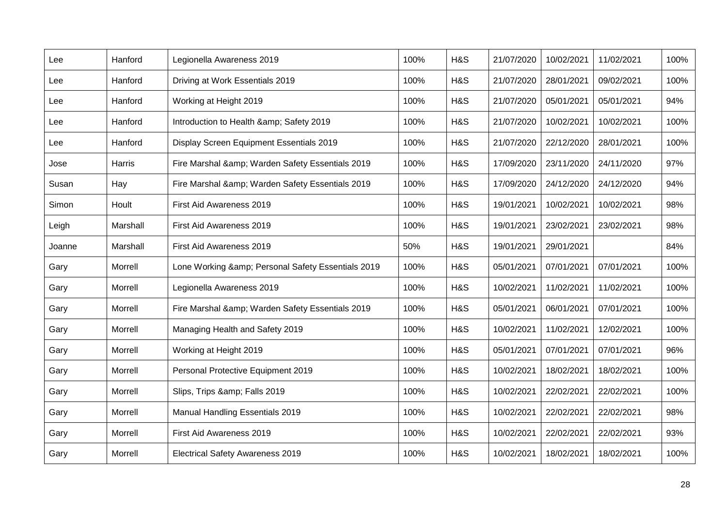| Lee    | Hanford  | Legionella Awareness 2019                      | 100% | H&S | 21/07/2020 | 10/02/2021 | 11/02/2021 | 100% |
|--------|----------|------------------------------------------------|------|-----|------------|------------|------------|------|
| Lee    | Hanford  | Driving at Work Essentials 2019                | 100% | H&S | 21/07/2020 | 28/01/2021 | 09/02/2021 | 100% |
| Lee    | Hanford  | Working at Height 2019                         | 100% | H&S | 21/07/2020 | 05/01/2021 | 05/01/2021 | 94%  |
| Lee    | Hanford  | Introduction to Health & Safety 2019           | 100% | H&S | 21/07/2020 | 10/02/2021 | 10/02/2021 | 100% |
| Lee    | Hanford  | Display Screen Equipment Essentials 2019       | 100% | H&S | 21/07/2020 | 22/12/2020 | 28/01/2021 | 100% |
| Jose   | Harris   | Fire Marshal & Warden Safety Essentials 2019   | 100% | H&S | 17/09/2020 | 23/11/2020 | 24/11/2020 | 97%  |
| Susan  | Hay      | Fire Marshal & Warden Safety Essentials 2019   | 100% | H&S | 17/09/2020 | 24/12/2020 | 24/12/2020 | 94%  |
| Simon  | Hoult    | First Aid Awareness 2019                       | 100% | H&S | 19/01/2021 | 10/02/2021 | 10/02/2021 | 98%  |
| Leigh  | Marshall | First Aid Awareness 2019                       | 100% | H&S | 19/01/2021 | 23/02/2021 | 23/02/2021 | 98%  |
| Joanne | Marshall | First Aid Awareness 2019                       | 50%  | H&S | 19/01/2021 | 29/01/2021 |            | 84%  |
| Gary   | Morrell  | Lone Working & Personal Safety Essentials 2019 | 100% | H&S | 05/01/2021 | 07/01/2021 | 07/01/2021 | 100% |
| Gary   | Morrell  | Legionella Awareness 2019                      | 100% | H&S | 10/02/2021 | 11/02/2021 | 11/02/2021 | 100% |
| Gary   | Morrell  | Fire Marshal & Warden Safety Essentials 2019   | 100% | H&S | 05/01/2021 | 06/01/2021 | 07/01/2021 | 100% |
| Gary   | Morrell  | Managing Health and Safety 2019                | 100% | H&S | 10/02/2021 | 11/02/2021 | 12/02/2021 | 100% |
| Gary   | Morrell  | Working at Height 2019                         | 100% | H&S | 05/01/2021 | 07/01/2021 | 07/01/2021 | 96%  |
| Gary   | Morrell  | Personal Protective Equipment 2019             | 100% | H&S | 10/02/2021 | 18/02/2021 | 18/02/2021 | 100% |
| Gary   | Morrell  | Slips, Trips & Falls 2019                      | 100% | H&S | 10/02/2021 | 22/02/2021 | 22/02/2021 | 100% |
| Gary   | Morrell  | <b>Manual Handling Essentials 2019</b>         | 100% | H&S | 10/02/2021 | 22/02/2021 | 22/02/2021 | 98%  |
| Gary   | Morrell  | First Aid Awareness 2019                       | 100% | H&S | 10/02/2021 | 22/02/2021 | 22/02/2021 | 93%  |
| Gary   | Morrell  | <b>Electrical Safety Awareness 2019</b>        | 100% | H&S | 10/02/2021 | 18/02/2021 | 18/02/2021 | 100% |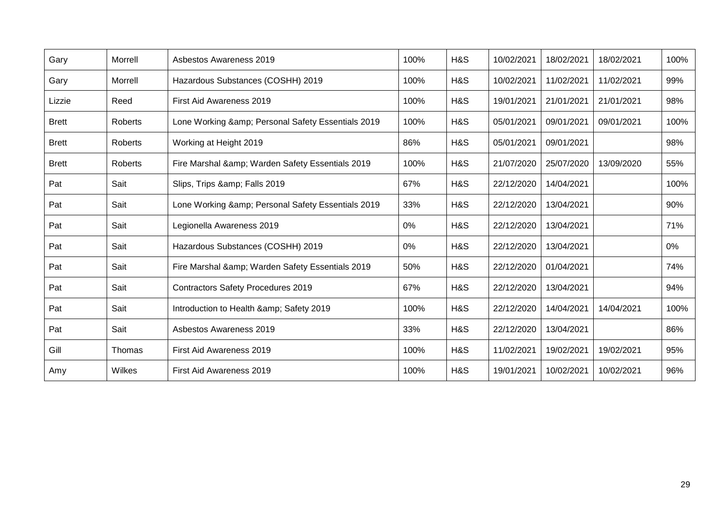| Gary         | Morrell | <b>Asbestos Awareness 2019</b>                 | 100%  | H&S | 10/02/2021 | 18/02/2021 | 18/02/2021 | 100% |
|--------------|---------|------------------------------------------------|-------|-----|------------|------------|------------|------|
| Gary         | Morrell | Hazardous Substances (COSHH) 2019              | 100%  | H&S | 10/02/2021 | 11/02/2021 | 11/02/2021 | 99%  |
| Lizzie       | Reed    | First Aid Awareness 2019                       | 100%  | H&S | 19/01/2021 | 21/01/2021 | 21/01/2021 | 98%  |
| <b>Brett</b> | Roberts | Lone Working & Personal Safety Essentials 2019 | 100%  | H&S | 05/01/2021 | 09/01/2021 | 09/01/2021 | 100% |
| <b>Brett</b> | Roberts | Working at Height 2019                         | 86%   | H&S | 05/01/2021 | 09/01/2021 |            | 98%  |
| <b>Brett</b> | Roberts | Fire Marshal & Warden Safety Essentials 2019   | 100%  | H&S | 21/07/2020 | 25/07/2020 | 13/09/2020 | 55%  |
| Pat          | Sait    | Slips, Trips & Falls 2019                      | 67%   | H&S | 22/12/2020 | 14/04/2021 |            | 100% |
| Pat          | Sait    | Lone Working & Personal Safety Essentials 2019 | 33%   | H&S | 22/12/2020 | 13/04/2021 |            | 90%  |
| Pat          | Sait    | Legionella Awareness 2019                      | $0\%$ | H&S | 22/12/2020 | 13/04/2021 |            | 71%  |
| Pat          | Sait    | Hazardous Substances (COSHH) 2019              | 0%    | H&S | 22/12/2020 | 13/04/2021 |            | 0%   |
| Pat          | Sait    | Fire Marshal & Warden Safety Essentials 2019   | 50%   | H&S | 22/12/2020 | 01/04/2021 |            | 74%  |
| Pat          | Sait    | <b>Contractors Safety Procedures 2019</b>      | 67%   | H&S | 22/12/2020 | 13/04/2021 |            | 94%  |
| Pat          | Sait    | Introduction to Health & Safety 2019           | 100%  | H&S | 22/12/2020 | 14/04/2021 | 14/04/2021 | 100% |
| Pat          | Sait    | <b>Asbestos Awareness 2019</b>                 | 33%   | H&S | 22/12/2020 | 13/04/2021 |            | 86%  |
| Gill         | Thomas  | First Aid Awareness 2019                       | 100%  | H&S | 11/02/2021 | 19/02/2021 | 19/02/2021 | 95%  |
| Amy          | Wilkes  | First Aid Awareness 2019                       | 100%  | H&S | 19/01/2021 | 10/02/2021 | 10/02/2021 | 96%  |